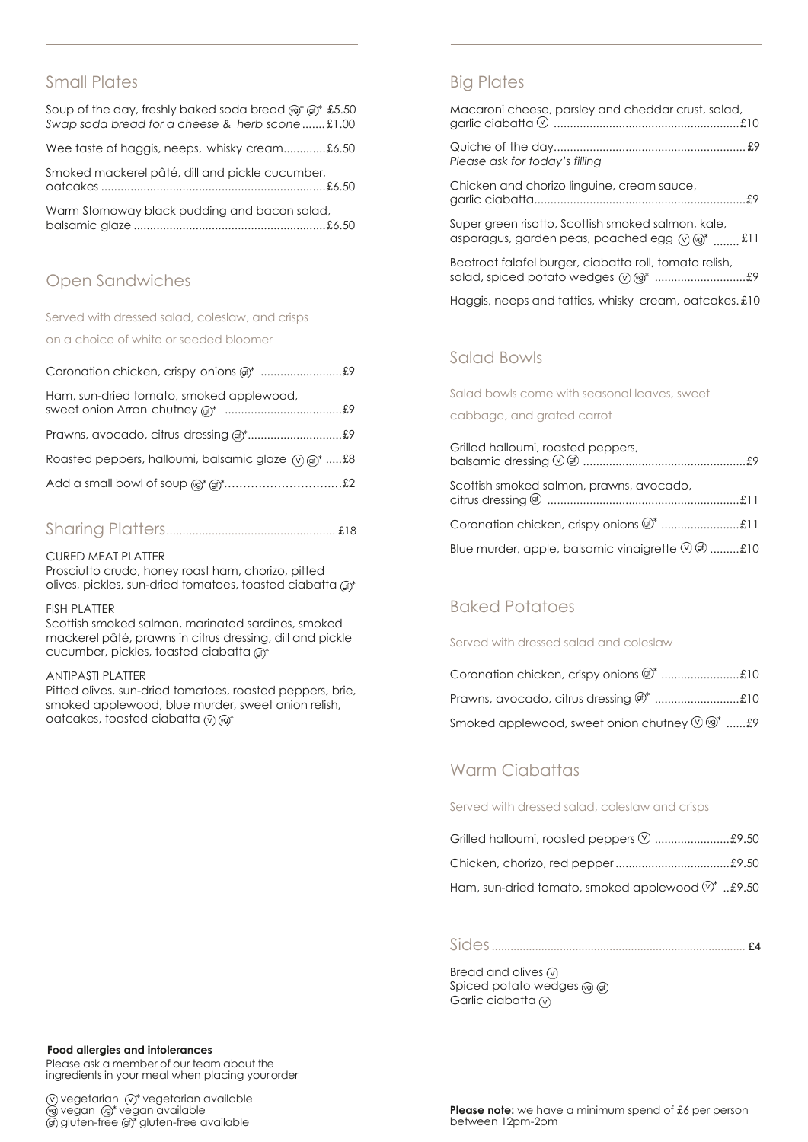## Small Plates

| Soup of the day, freshly baked soda bread $\textcircled{a}^*$ $\textcircled{f}^*$ £5.50<br>Swap soda bread for a cheese & herb scone£1.00 |
|-------------------------------------------------------------------------------------------------------------------------------------------|
| Wee taste of haggis, neeps, whisky cream£6.50                                                                                             |
| Smoked mackerel pâté, dill and pickle cucumber,                                                                                           |
| Warm Stornoway black pudding and bacon salad,                                                                                             |

# Open Sandwiches

Served with dressed salad, coleslaw, and crisps

on a choice of white or seeded bloomer

| Ham, sun-dried tomato, smoked applewood,<br>sweet onion Arran chutney of the manumum and the sweet onion Arran chutney of the manumum and the sweet only and the sweet only see the sweet only see the sweet only sweet on the sweet on the sweet on the sweet on the swee |  |
|----------------------------------------------------------------------------------------------------------------------------------------------------------------------------------------------------------------------------------------------------------------------------|--|
|                                                                                                                                                                                                                                                                            |  |
| Roasted peppers, halloumi, balsamic glaze $\varphi$ of $\mathcal{F}$ \$8                                                                                                                                                                                                   |  |
|                                                                                                                                                                                                                                                                            |  |

|--|--|--|

#### CURED MEAT PLATTER

Prosciutto crudo, honey roast ham, chorizo, pitted olives, pickles, sun-dried tomatoes, toasted ciabatta @\*

#### FISH PLATTER

Scottish smoked salmon, marinated sardines, smoked mackerel pâté, prawns in citrus dressing, dill and pickle cucumber, pickles, toasted ciabatta @\*

#### ANTIPASTI PLATTER

Pitted olives, sun-dried tomatoes, roasted peppers, brie, smoked applewood, blue murder, sweet onion relish, oatcakes, toasted ciabatta  $\circledR$  ( $\circledR^*$ 

# Big Plates

| Macaroni cheese, parsley and cheddar crust, salad,                                                                                                                                          |
|---------------------------------------------------------------------------------------------------------------------------------------------------------------------------------------------|
| Please ask for today's filling                                                                                                                                                              |
| Chicken and chorizo linguine, cream sauce,                                                                                                                                                  |
| Super green risotto, Scottish smoked salmon, kale,<br>asparagus, garden peas, poached egg ( $\sqrt{2}$ ) ( $\frac{1}{2}$ ) asparagus, garden peas, poached egg ( $\sqrt{2}$ ) $\frac{1}{2}$ |

Beetroot falafel burger, ciabatta roll, tomato relish, salad, spiced potato wedges ............................£9

Haggis, neeps and tatties, whisky cream, oatcakes. £10

## Salad Bowls

Salad bowls come with seasonal leaves, sweet

cabbage, and grated carrot

| Grilled halloumi, roasted peppers,                                                     |  |
|----------------------------------------------------------------------------------------|--|
| Scottish smoked salmon, prawns, avocado,                                               |  |
|                                                                                        |  |
| Blue murder, apple, balsamic vinaigrette $\textcircled{1}\oplus\ldots\ldots\ldots\$ 10 |  |

# Baked Potatoes

Served with dressed salad and coleslaw

| Smoked applewood, sweet onion chutney $\mathcal{O} \circledcirc^*$ £9 |  |
|-----------------------------------------------------------------------|--|

## Warm Ciabattas

Served with dressed salad, coleslaw and crisps

| Grilled halloumi, roasted peppers $\heartsuit$ \$9.50        |  |
|--------------------------------------------------------------|--|
|                                                              |  |
| Ham, sun-dried tomato, smoked applewood $\mathbb{O}^*$ £9.50 |  |

# Sides.................................................................................. £4

Bread and olives  $\circledcirc$ Spiced potato wedges Garlic ciabatta  $\circledcirc$ 

#### **Food allergies and intolerances**

Please ask a member of our team about the ingredients in your meal when placing yourorder